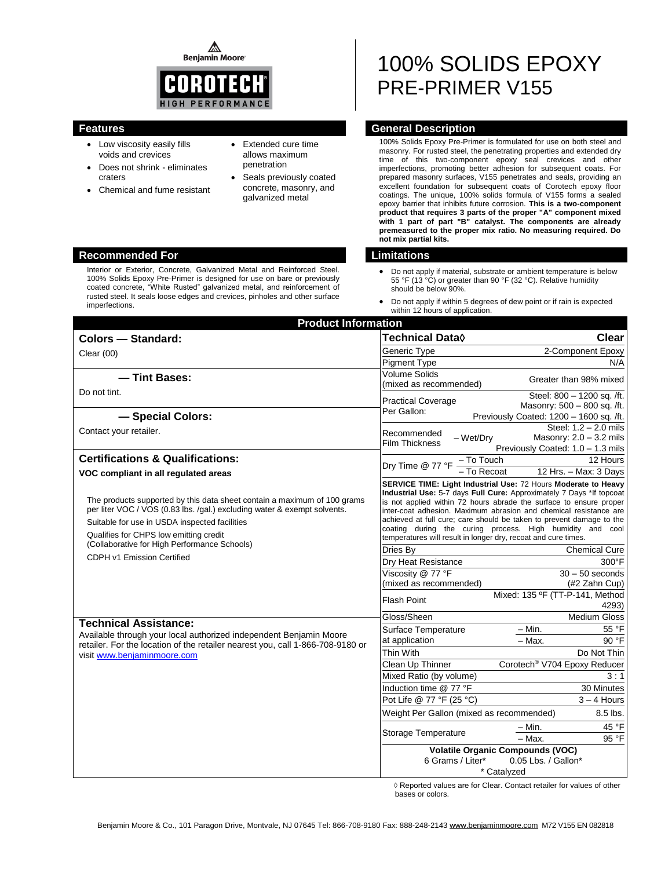⚠ **Benjamin Moore** 



- Low viscosity easily fills voids and crevices
- Does not shrink eliminates craters
- Chemical and fume resistant
- Extended cure time allows maximum penetration
- Seals previously coated concrete, masonry, and galvanized metal

# 100% SOLIDS EPOXY PRE-PRIMER V155

# **Features General Description**

100% Solids Epoxy Pre-Primer is formulated for use on both steel and masonry. For rusted steel, the penetrating properties and extended dry time of this two-component epoxy seal crevices and other imperfections, promoting better adhesion for subsequent coats. For prepared masonry surfaces, V155 penetrates and seals, providing an excellent foundation for subsequent coats of Corotech epoxy floor coatings. The unique, 100% solids formula of V155 forms a sealed epoxy barrier that inhibits future corrosion. **This is a two-component product that requires 3 parts of the proper "A" component mixed with 1 part of part "B" catalyst. The components are already premeasured to the proper mix ratio. No measuring required. Do not mix partial kits.**

- Do not apply if material, substrate or ambient temperature is below 55 °F (13 °C) or greater than 90 °F (32 °C). Relative humidity should be below 90%.
- Do not apply if within 5 degrees of dew point or if rain is expected within 12 hours of application.

| <b>Product Information</b>                                                                                                                                                                                                                      |                                                                                                                                                                                                                                                                                                                                                                                                                                                                                          |                                                                                         |  |
|-------------------------------------------------------------------------------------------------------------------------------------------------------------------------------------------------------------------------------------------------|------------------------------------------------------------------------------------------------------------------------------------------------------------------------------------------------------------------------------------------------------------------------------------------------------------------------------------------------------------------------------------------------------------------------------------------------------------------------------------------|-----------------------------------------------------------------------------------------|--|
| <b>Colors - Standard:</b>                                                                                                                                                                                                                       | Technical Data <b>◊</b>                                                                                                                                                                                                                                                                                                                                                                                                                                                                  | <b>Clear</b>                                                                            |  |
| Clear $(00)$                                                                                                                                                                                                                                    | Generic Type                                                                                                                                                                                                                                                                                                                                                                                                                                                                             | 2-Component Epoxy                                                                       |  |
|                                                                                                                                                                                                                                                 | <b>Pigment Type</b>                                                                                                                                                                                                                                                                                                                                                                                                                                                                      | N/A                                                                                     |  |
| - Tint Bases:                                                                                                                                                                                                                                   | Volume Solids<br>(mixed as recommended)                                                                                                                                                                                                                                                                                                                                                                                                                                                  | Greater than 98% mixed                                                                  |  |
| Do not tint.                                                                                                                                                                                                                                    | <b>Practical Coverage</b>                                                                                                                                                                                                                                                                                                                                                                                                                                                                | Steel: 800 - 1200 sq. /ft.                                                              |  |
|                                                                                                                                                                                                                                                 | Per Gallon:                                                                                                                                                                                                                                                                                                                                                                                                                                                                              | Masonry: 500 - 800 sq. /ft.                                                             |  |
| - Special Colors:                                                                                                                                                                                                                               |                                                                                                                                                                                                                                                                                                                                                                                                                                                                                          | Previously Coated: 1200 - 1600 sq. /ft.                                                 |  |
| Contact your retailer.                                                                                                                                                                                                                          | Recommended<br>- Wet/Dry<br><b>Film Thickness</b>                                                                                                                                                                                                                                                                                                                                                                                                                                        | Steel: 1.2 - 2.0 mils<br>Masonry: $2.0 - 3.2$ mils<br>Previously Coated: 1.0 - 1.3 mils |  |
| <b>Certifications &amp; Qualifications:</b>                                                                                                                                                                                                     | Dry Time @ 77 °F $\frac{-\text{To Touch}}{-\text{To Record}}$                                                                                                                                                                                                                                                                                                                                                                                                                            | 12 Hours                                                                                |  |
| VOC compliant in all regulated areas                                                                                                                                                                                                            |                                                                                                                                                                                                                                                                                                                                                                                                                                                                                          | 12 Hrs. - Max: 3 Days                                                                   |  |
| The products supported by this data sheet contain a maximum of 100 grams<br>per liter VOC / VOS (0.83 lbs. /gal.) excluding water & exempt solvents.<br>Suitable for use in USDA inspected facilities<br>Qualifies for CHPS low emitting credit | SERVICE TIME: Light Industrial Use: 72 Hours Moderate to Heavy<br>Industrial Use: 5-7 days Full Cure: Approximately 7 Days *If topcoat<br>is not applied within 72 hours abrade the surface to ensure proper<br>inter-coat adhesion. Maximum abrasion and chemical resistance are<br>achieved at full cure; care should be taken to prevent damage to the<br>coating during the curing process. High humidity and cool<br>temperatures will result in longer dry, recoat and cure times. |                                                                                         |  |
| (Collaborative for High Performance Schools)                                                                                                                                                                                                    | Dries Bv                                                                                                                                                                                                                                                                                                                                                                                                                                                                                 | <b>Chemical Cure</b>                                                                    |  |
| CDPH v1 Emission Certified                                                                                                                                                                                                                      | Dry Heat Resistance                                                                                                                                                                                                                                                                                                                                                                                                                                                                      | 300°F                                                                                   |  |
|                                                                                                                                                                                                                                                 | Viscosity @ 77 °F                                                                                                                                                                                                                                                                                                                                                                                                                                                                        | $30 - 50$ seconds                                                                       |  |
|                                                                                                                                                                                                                                                 | (mixed as recommended)                                                                                                                                                                                                                                                                                                                                                                                                                                                                   | (#2 Zahn Cup)                                                                           |  |
|                                                                                                                                                                                                                                                 | Mixed: 135 ºF (TT-P-141, Method<br><b>Flash Point</b><br>4293)                                                                                                                                                                                                                                                                                                                                                                                                                           |                                                                                         |  |
| <b>Technical Assistance:</b>                                                                                                                                                                                                                    | Gloss/Sheen                                                                                                                                                                                                                                                                                                                                                                                                                                                                              | <b>Medium Gloss</b>                                                                     |  |
| Available through your local authorized independent Benjamin Moore                                                                                                                                                                              | Surface Temperature                                                                                                                                                                                                                                                                                                                                                                                                                                                                      | 55 °F<br>– Min.                                                                         |  |
| retailer. For the location of the retailer nearest you, call 1-866-708-9180 or                                                                                                                                                                  | at application                                                                                                                                                                                                                                                                                                                                                                                                                                                                           | - Max.<br>90 °F                                                                         |  |
| visit www.benjaminmoore.com                                                                                                                                                                                                                     | Thin With                                                                                                                                                                                                                                                                                                                                                                                                                                                                                | Do Not Thin                                                                             |  |
|                                                                                                                                                                                                                                                 | Clean Up Thinner                                                                                                                                                                                                                                                                                                                                                                                                                                                                         | Corotech <sup>®</sup> V704 Epoxy Reducer                                                |  |
|                                                                                                                                                                                                                                                 | Mixed Ratio (by volume)                                                                                                                                                                                                                                                                                                                                                                                                                                                                  | 3:1                                                                                     |  |
|                                                                                                                                                                                                                                                 | Induction time @ 77 °F                                                                                                                                                                                                                                                                                                                                                                                                                                                                   | 30 Minutes                                                                              |  |
|                                                                                                                                                                                                                                                 | Pot Life @ 77 °F (25 °C)                                                                                                                                                                                                                                                                                                                                                                                                                                                                 | $3 - 4$ Hours                                                                           |  |
|                                                                                                                                                                                                                                                 | Weight Per Gallon (mixed as recommended)<br>8.5 lbs.                                                                                                                                                                                                                                                                                                                                                                                                                                     |                                                                                         |  |
|                                                                                                                                                                                                                                                 | <b>Storage Temperature</b>                                                                                                                                                                                                                                                                                                                                                                                                                                                               | 45 °F<br>– Min.                                                                         |  |
|                                                                                                                                                                                                                                                 |                                                                                                                                                                                                                                                                                                                                                                                                                                                                                          | 95 °F<br>$-$ Max.                                                                       |  |
|                                                                                                                                                                                                                                                 | <b>Volatile Organic Compounds (VOC)</b><br>0.05 Lbs. / Gallon*<br>6 Grams / Liter*<br>* Catalyzed                                                                                                                                                                                                                                                                                                                                                                                        |                                                                                         |  |

 ◊ Reported values are for Clear. Contact retailer for values of other bases or colors.

### **Recommended For Limitations**

Interior or Exterior, Concrete, Galvanized Metal and Reinforced Steel. 100% Solids Epoxy Pre-Primer is designed for use on bare or previously coated concrete, "White Rusted" galvanized metal, and reinforcement of rusted steel. It seals loose edges and crevices, pinholes and other surface imperfections.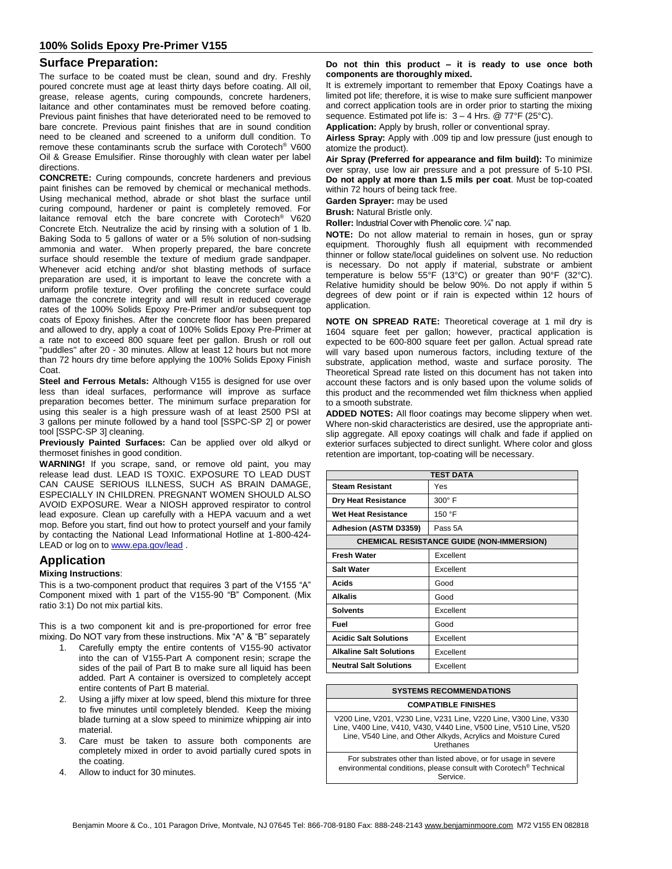# **Surface Preparation:**

The surface to be coated must be clean, sound and dry. Freshly poured concrete must age at least thirty days before coating. All oil, grease, release agents, curing compounds, concrete hardeners, laitance and other contaminates must be removed before coating. Previous paint finishes that have deteriorated need to be removed to bare concrete. Previous paint finishes that are in sound condition need to be cleaned and screened to a uniform dull condition. To remove these contaminants scrub the surface with Corotech® V600 Oil & Grease Emulsifier. Rinse thoroughly with clean water per label directions.

**CONCRETE:** Curing compounds, concrete hardeners and previous paint finishes can be removed by chemical or mechanical methods. Using mechanical method, abrade or shot blast the surface until curing compound, hardener or paint is completely removed. For laitance removal etch the bare concrete with Corotech® V620 Concrete Etch. Neutralize the acid by rinsing with a solution of 1 lb. Baking Soda to 5 gallons of water or a 5% solution of non-sudsing ammonia and water. When properly prepared, the bare concrete surface should resemble the texture of medium grade sandpaper. Whenever acid etching and/or shot blasting methods of surface preparation are used, it is important to leave the concrete with a uniform profile texture. Over profiling the concrete surface could damage the concrete integrity and will result in reduced coverage rates of the 100% Solids Epoxy Pre-Primer and/or subsequent top coats of Epoxy finishes. After the concrete floor has been prepared and allowed to dry, apply a coat of 100% Solids Epoxy Pre-Primer at a rate not to exceed 800 square feet per gallon. Brush or roll out "puddles" after 20 - 30 minutes. Allow at least 12 hours but not more than 72 hours dry time before applying the 100% Solids Epoxy Finish Coat.

**Steel and Ferrous Metals:** Although V155 is designed for use over less than ideal surfaces, performance will improve as surface preparation becomes better. The minimum surface preparation for using this sealer is a high pressure wash of at least 2500 PSI at 3 gallons per minute followed by a hand tool [SSPC-SP 2] or power tool [SSPC-SP 3] cleaning.

**Previously Painted Surfaces:** Can be applied over old alkyd or thermoset finishes in good condition.

**WARNING!** If you scrape, sand, or remove old paint, you may release lead dust. LEAD IS TOXIC. EXPOSURE TO LEAD DUST CAN CAUSE SERIOUS ILLNESS, SUCH AS BRAIN DAMAGE, ESPECIALLY IN CHILDREN. PREGNANT WOMEN SHOULD ALSO AVOID EXPOSURE. Wear a NIOSH approved respirator to control lead exposure. Clean up carefully with a HEPA vacuum and a wet mop. Before you start, find out how to protect yourself and your family by contacting the National Lead Informational Hotline at 1-800-424 LEAD or log on t[o www.epa.gov/lead](http://www.epa.gov/lead).

# **Application**

### **Mixing Instructions**:

This is a two-component product that requires 3 part of the V155 "A" Component mixed with 1 part of the V155-90 "B" Component. (Mix ratio 3:1) Do not mix partial kits.

This is a two component kit and is pre-proportioned for error free mixing. Do NOT vary from these instructions. Mix "A" & "B" separately

- 1. Carefully empty the entire contents of V155-90 activator into the can of V155-Part A component resin; scrape the sides of the pail of Part B to make sure all liquid has been added. Part A container is oversized to completely accept entire contents of Part B material.
- 2. Using a jiffy mixer at low speed, blend this mixture for three to five minutes until completely blended. Keep the mixing blade turning at a slow speed to minimize whipping air into material.
- 3. Care must be taken to assure both components are completely mixed in order to avoid partially cured spots in the coating.
- 4. Allow to induct for 30 minutes.

#### **Do not thin this product – it is ready to use once both components are thoroughly mixed.**

It is extremely important to remember that Epoxy Coatings have a limited pot life; therefore, it is wise to make sure sufficient manpower and correct application tools are in order prior to starting the mixing sequence. Estimated pot life is:  $3 - 4$  Hrs. @ 77°F (25°C).

**Application:** Apply by brush, roller or conventional spray.

**Airless Spray:** Apply with .009 tip and low pressure (just enough to atomize the product).

**Air Spray (Preferred for appearance and film build):** To minimize over spray, use low air pressure and a pot pressure of 5-10 PSI. **Do not apply at more than 1.5 mils per coat**. Must be top-coated within 72 hours of being tack free.

**Garden Sprayer:** may be used

**Brush:** Natural Bristle only.

**Roller:** Industrial Cover with Phenolic core. ¼" nap.

**NOTE:** Do not allow material to remain in hoses, gun or spray equipment. Thoroughly flush all equipment with recommended thinner or follow state/local guidelines on solvent use. No reduction is necessary. Do not apply if material, substrate or ambient temperature is below 55°F (13°C) or greater than 90°F (32°C). Relative humidity should be below 90%. Do not apply if within 5 degrees of dew point or if rain is expected within 12 hours of application.

**NOTE ON SPREAD RATE:** Theoretical coverage at 1 mil dry is 1604 square feet per gallon; however, practical application is expected to be 600-800 square feet per gallon. Actual spread rate will vary based upon numerous factors, including texture of the substrate, application method, waste and surface porosity. The Theoretical Spread rate listed on this document has not taken into account these factors and is only based upon the volume solids of this product and the recommended wet film thickness when applied to a smooth substrate.

**ADDED NOTES:** All floor coatings may become slippery when wet. Where non-skid characteristics are desired, use the appropriate antislip aggregate. All epoxy coatings will chalk and fade if applied on exterior surfaces subjected to direct sunlight. Where color and gloss retention are important, top-coating will be necessary.

| <b>TEST DATA</b>                                 |               |  |
|--------------------------------------------------|---------------|--|
| <b>Steam Resistant</b>                           | Yes           |  |
| <b>Dry Heat Resistance</b>                       | $300^\circ$ F |  |
| Wet Heat Resistance                              | 150 °F        |  |
| Adhesion (ASTM D3359)                            | Pass 5A       |  |
| <b>CHEMICAL RESISTANCE GUIDE (NON-IMMERSION)</b> |               |  |
| <b>Fresh Water</b>                               | Excellent     |  |
| <b>Salt Water</b>                                | Excellent     |  |
| Acids                                            | Good          |  |
| Alkalis                                          | Good          |  |
| <b>Solvents</b>                                  | Excellent     |  |
| Fuel                                             | Good          |  |
| <b>Acidic Salt Solutions</b>                     | Excellent     |  |
| <b>Alkaline Salt Solutions</b>                   | Excellent     |  |
| <b>Neutral Salt Solutions</b>                    | Excellent     |  |

#### **SYSTEMS RECOMMENDATIONS**

#### **COMPATIBLE FINISHES**

V200 Line, V201, V230 Line, V231 Line, V220 Line, V300 Line, V330 Line, V400 Line, V410, V430, V440 Line, V500 Line, V510 Line, V520 Line, V540 Line, and Other Alkyds, Acrylics and Moisture Cured Urethanes

For substrates other than listed above, or for usage in severe environmental conditions, please consult with Corotech® Technical Service.